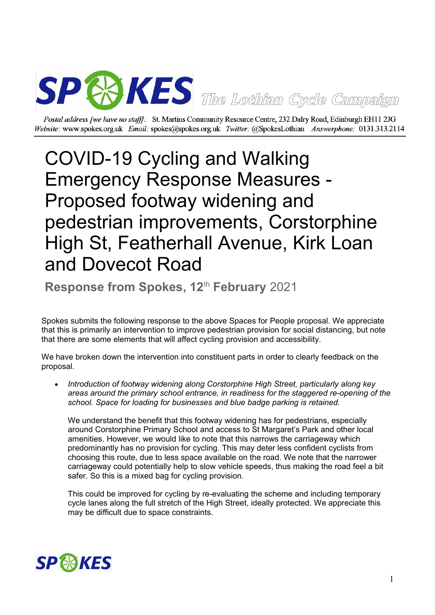

Postal address [we have no staff]: St. Martins Community Resource Centre, 232 Dalry Road, Edinburgh EH11 2JG Website: www.spokes.org.uk Email: spokes@spokes.org.uk Twitter: @SpokesLothian Answerphone: 0131.313.2114

## COVID-19 Cycling and Walking Emergency Response Measures - Proposed footway widening and pedestrian improvements, Corstorphine High St, Featherhall Avenue, Kirk Loan and Dovecot Road

**Response from Spokes, 12<sup>th</sup> February** 2021

Spokes submits the following response to the above Spaces for People proposal. We appreciate that this is primarily an intervention to improve pedestrian provision for social distancing, but note that there are some elements that will affect cycling provision and accessibility.

We have broken down the intervention into constituent parts in order to clearly feedback on the proposal.

 *Introduction of footway widening along Corstorphine High Street, particularly along key areas around the primary school entrance, in readiness for the staggered re-opening of the school. Space for loading for businesses and blue badge parking is retained.*

We understand the benefit that this footway widening has for pedestrians, especially around Corstorphine Primary School and access to St Margaret's Park and other local amenities. However, we would like to note that this narrows the carriageway which predominantly has no provision for cycling. This may deter less confident cyclists from choosing this route, due to less space available on the road. We note that the narrower carriageway could potentially help to slow vehicle speeds, thus making the road feel a bit safer. So this is a mixed bag for cycling provision.

This could be improved for cycling by re-evaluating the scheme and including temporary cycle lanes along the full stretch of the High Street, ideally protected. We appreciate this may be difficult due to space constraints.

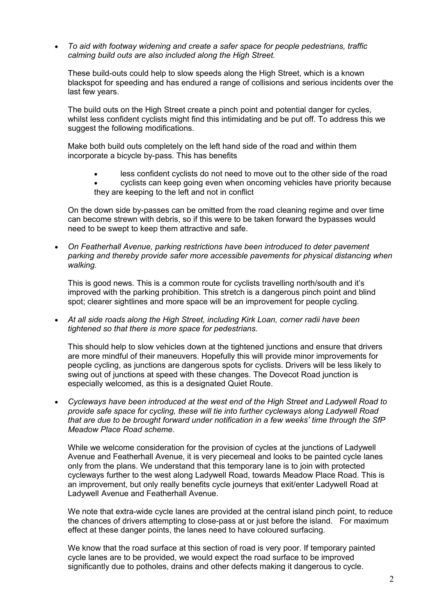*To aid with footway widening and create a safer space for people pedestrians, traffic calming build outs are also included along the High Street.*

These build-outs could help to slow speeds along the High Street, which is a known blackspot for speeding and has endured a range of collisions and serious incidents over the last few years.

The build outs on the High Street create a pinch point and potential danger for cycles, whilst less confident cyclists might find this intimidating and be put off. To address this we suggest the following modifications.

Make both build outs completely on the left hand side of the road and within them incorporate a bicycle by-pass. This has benefits

- less confident cyclists do not need to move out to the other side of the road
- cyclists can keep going even when oncoming vehicles have priority because they are keeping to the left and not in conflict

On the down side by-passes can be omitted from the road cleaning regime and over time can become strewn with debris, so if this were to be taken forward the bypasses would need to be swept to keep them attractive and safe.

 *On Featherhall Avenue, parking restrictions have been introduced to deter pavement parking and thereby provide safer more accessible pavements for physical distancing when walking.*

This is good news. This is a common route for cyclists travelling north/south and it's improved with the parking prohibition. This stretch is a dangerous pinch point and blind spot; clearer sightlines and more space will be an improvement for people cycling.

 *At all side roads along the High Street, including Kirk Loan, corner radii have been tightened so that there is more space for pedestrians.*

This should help to slow vehicles down at the tightened junctions and ensure that drivers are more mindful of their maneuvers. Hopefully this will provide minor improvements for people cycling, as junctions are dangerous spots for cyclists. Drivers will be less likely to swing out of junctions at speed with these changes. The Dovecot Road junction is especially welcomed, as this is a designated Quiet Route.

 *Cycleways have been introduced at the west end of the High Street and Ladywell Road to provide safe space for cycling, these will tie into further cycleways along Ladywell Road that are due to be brought forward under notification in a few weeks' time through the SfP Meadow Place Road scheme.*

While we welcome consideration for the provision of cycles at the junctions of Ladywell Avenue and Featherhall Avenue, it is very piecemeal and looks to be painted cycle lanes only from the plans. We understand that this temporary lane is to join with protected cycleways further to the west along Ladywell Road, towards Meadow Place Road. This is an improvement, but only really benefits cycle journeys that exit/enter Ladywell Road at Ladywell Avenue and Featherhall Avenue.

We note that extra-wide cycle lanes are provided at the central island pinch point, to reduce the chances of drivers attempting to close-pass at or just before the island. For maximum effect at these danger points, the lanes need to have coloured surfacing.

We know that the road surface at this section of road is very poor. If temporary painted cycle lanes are to be provided, we would expect the road surface to be improved significantly due to potholes, drains and other defects making it dangerous to cycle.